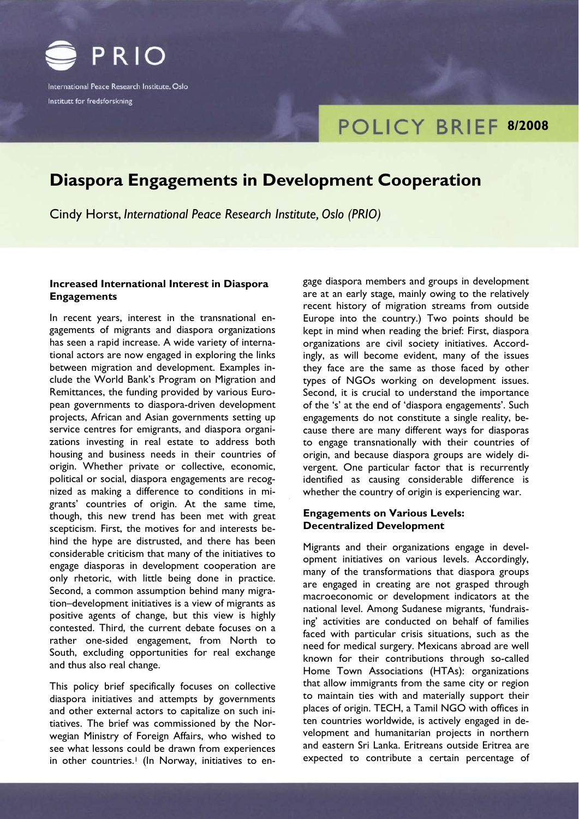

International Peace Research Institute, Oslo Institutt for fredsforskning

# **POLICY BRIEF 8/2008**

# **Diaspora Engagements in Development Cooperation**

Cindy Horst, *International Peace Research Institute, Oslo (PRIO)*

# **Increased International Interest in Diaspora Engagements**

In recent years, interest in the transnational engagements of migrants and diaspora organizations has seen a rapid increase. A wide variety of international actors are now engaged in exploring the links between migration and development. Examples include the World Bank's Program on Migration and Remittances, the funding provided by various European governments to diaspora-driven development projects, African and Asian governments setting up service centres for emigrants, and diaspora organizations investing in real estate to address both housing and business needs in their countries of origin. Whether private or collective, economic, political or social, diaspora engagements are recognized as making a difference to conditions in migrants' countries of origin. At the same time, though, this new trend has been met with great scepticism. First, the motives for and interests behind the hype are distrusted, and there has been considerable criticism that many of the initiatives to engage diasporas in development cooperation are only rhetoric, with little being done in practice. Second, a common assumption behind many migration–development initiatives is a view of migrants as positive agents of change, but this view is highly contested. Third, the current debate focuses on a rather one-sided engagement, from North to South, excluding opportunities for real exchange and thus also real change.

This policy brief specifically focuses on collective diaspora initiatives and attempts by governments and other external actors to capitalize on such initiatives. The brief was commissioned by the Norwegian Ministry of Foreign Affairs, who wished to see what lessons could be drawn from experiences in other countries.<sup>1</sup> (In Norway, initiatives to engage diaspora members and groups in development are at an early stage, mainly owing to the relatively recent history of migration streams from outside Europe into the country.) Two points should be kept in mind when reading the brief: First, diaspora organizations are civil society initiatives. Accordingly, as will become evident, many of the issues they face are the same as those faced by other types of NGOs working on development issues. Second, it is crucial to understand the importance of the 's' at the end of 'diaspora engagement*s*'. Such engagements do not constitute a single reality, because there are many different ways for diasporas to engage transnationally with their countries of origin, and because diaspora groups are widely divergent. One particular factor that is recurrently identified as causing considerable difference is whether the country of origin is experiencing war.

# **Engagements on Various Levels: Decentralized Development**

Migrants and their organizations engage in development initiatives on various levels. Accordingly, many of the transformations that diaspora groups are engaged in creating are not grasped through macroeconomic or development indicators at the national level. Among Sudanese migrants, 'fundraising' activities are conducted on behalf of families faced with particular crisis situations, such as the need for medical surgery. Mexicans abroad are well known for their contributions through so-called Home Town Associations (HTAs): organizations that allow immigrants from the same city or region to maintain ties with and materially support their places of origin. TECH, a Tamil NGO with offices in ten countries worldwide, is actively engaged in development and humanitarian projects in northern and eastern Sri Lanka. Eritreans outside Eritrea are expected to contribute a certain percentage of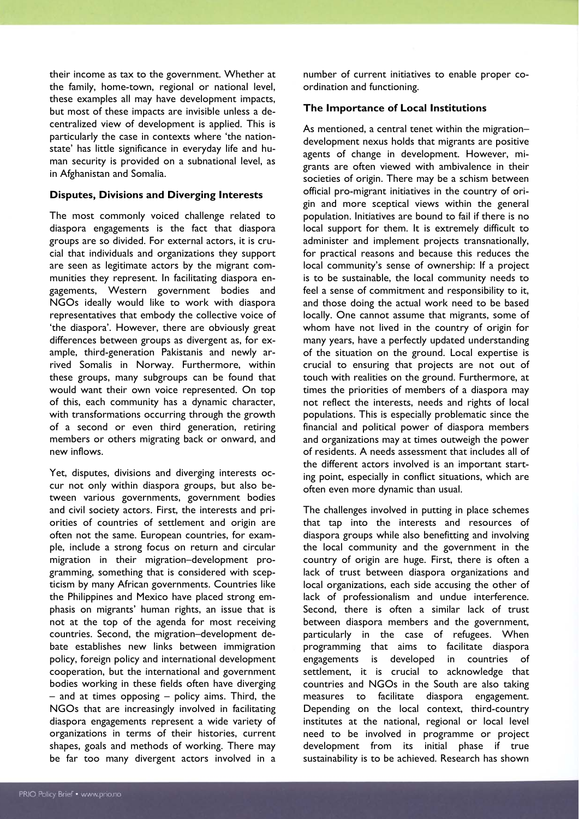their income as tax to the government. Whether at the family, home-town, regional or national level, these examples all may have development impacts, but most of these impacts are invisible unless a decentralized view of development is applied. This is particularly the case in contexts where 'the nationstate' has little significance in everyday life and human security is provided on a subnational level, as in Afghanistan and Somalia.

### **Disputes, Divisions and Diverging Interests**

The most commonly voiced challenge related to diaspora engagements is the fact that diaspora groups are so divided. For external actors, it is crucial that individuals and organizations they support are seen as legitimate actors by the migrant communities they represent. In facilitating diaspora engagements, Western government bodies and NGOs ideally would like to work with diaspora representatives that embody the collective voice of 'the diaspora'. However, there are obviously great differences between groups as divergent as, for example, third-generation Pakistanis and newly arrived Somalis in Norway. Furthermore, within these groups, many subgroups can be found that would want their own voice represented. On top of this, each community has a dynamic character, with transformations occurring through the growth of a second or even third generation, retiring members or others migrating back or onward, and new inflows.

Yet, disputes, divisions and diverging interests occur not only within diaspora groups, but also between various governments, government bodies and civil society actors. First, the interests and priorities of countries of settlement and origin are often not the same. European countries, for example, include a strong focus on return and circular migration in their migration–development programming, something that is considered with scepticism by many African governments. Countries like the Philippines and Mexico have placed strong emphasis on migrants' human rights, an issue that is not at the top of the agenda for most receiving countries. Second, the migration–development debate establishes new links between immigration policy, foreign policy and international development cooperation, but the international and government bodies working in these fields often have diverging – and at times opposing – policy aims. Third, the NGOs that are increasingly involved in facilitating diaspora engagements represent a wide variety of organizations in terms of their histories, current shapes, goals and methods of working. There may be far too many divergent actors involved in a number of current initiatives to enable proper coordination and functioning.

## **The Importance of Local Institutions**

As mentioned, a central tenet within the migration– development nexus holds that migrants are positive agents of change in development. However, migrants are often viewed with ambivalence in their societies of origin. There may be a schism between official pro-migrant initiatives in the country of origin and more sceptical views within the general population. Initiatives are bound to fail if there is no local support for them. It is extremely difficult to administer and implement projects transnationally, for practical reasons and because this reduces the local community's sense of ownership: If a project is to be sustainable, the local community needs to feel a sense of commitment and responsibility to it, and those doing the actual work need to be based locally. One cannot assume that migrants, some of whom have not lived in the country of origin for many years, have a perfectly updated understanding of the situation on the ground. Local expertise is crucial to ensuring that projects are not out of touch with realities on the ground. Furthermore, at times the priorities of members of a diaspora may not reflect the interests, needs and rights of local populations. This is especially problematic since the financial and political power of diaspora members and organizations may at times outweigh the power of residents. A needs assessment that includes all of the different actors involved is an important starting point, especially in conflict situations, which are often even more dynamic than usual.

The challenges involved in putting in place schemes that tap into the interests and resources of diaspora groups while also benefitting and involving the local community and the government in the country of origin are huge. First, there is often a lack of trust between diaspora organizations and local organizations, each side accusing the other of lack of professionalism and undue interference. Second, there is often a similar lack of trust between diaspora members and the government, particularly in the case of refugees. When programming that aims to facilitate diaspora engagements is developed in countries of settlement, it is crucial to acknowledge that countries and NGOs in the South are also taking measures to facilitate diaspora engagement. Depending on the local context, third-country institutes at the national, regional or local level need to be involved in programme or project development from its initial phase if true sustainability is to be achieved. Research has shown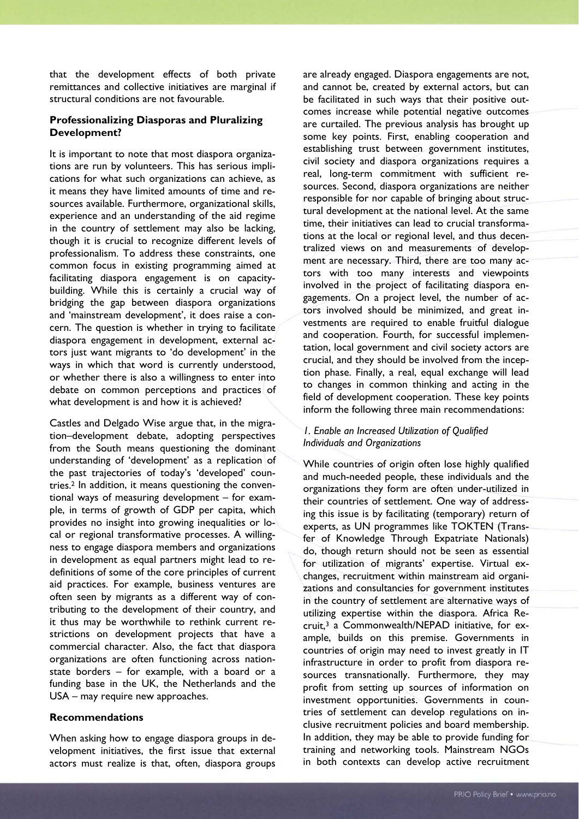that the development effects of both private remittances and collective initiatives are marginal if structural conditions are not favourable.

### **Professionalizing Diasporas and Pluralizing Development?**

It is important to note that most diaspora organizations are run by volunteers. This has serious implications for what such organizations can achieve, as it means they have limited amounts of time and resources available. Furthermore, organizational skills, experience and an understanding of the aid regime in the country of settlement may also be lacking, though it is crucial to recognize different levels of professionalism. To address these constraints, one common focus in existing programming aimed at facilitating diaspora engagement is on capacitybuilding. While this is certainly a crucial way of bridging the gap between diaspora organizations and 'mainstream development', it does raise a concern. The question is whether in trying to facilitate diaspora engagement in development, external actors just want migrants to 'do development' in the ways in which that word is currently understood, or whether there is also a willingness to enter into debate on common perceptions and practices of what development is and how it is achieved?

Castles and Delgado Wise argue that, in the migration–development debate, adopting perspectives from the South means questioning the dominant understanding of 'development' as a replication of the past trajectories of today's 'developed' countries.2 In addition, it means questioning the conventional ways of measuring development – for example, in terms of growth of GDP per capita, which provides no insight into growing inequalities or local or regional transformative processes. A willingness to engage diaspora members and organizations in development as equal partners might lead to redefinitions of some of the core principles of current aid practices. For example, business ventures are often seen by migrants as a different way of contributing to the development of their country, and it thus may be worthwhile to rethink current restrictions on development projects that have a commercial character. Also, the fact that diaspora organizations are often functioning across nationstate borders – for example, with a board or a funding base in the UK, the Netherlands and the USA – may require new approaches.

#### **Recommendations**

When asking how to engage diaspora groups in development initiatives, the first issue that external actors must realize is that, often, diaspora groups are already engaged. Diaspora engagements are not, and cannot be, created by external actors, but can be facilitated in such ways that their positive outcomes increase while potential negative outcomes are curtailed. The previous analysis has brought up some key points. First, enabling cooperation and establishing trust between government institutes, civil society and diaspora organizations requires a real, long-term commitment with sufficient resources. Second, diaspora organizations are neither responsible for nor capable of bringing about structural development at the national level. At the same time, their initiatives can lead to crucial transformations at the local or regional level, and thus decentralized views on and measurements of development are necessary. Third, there are too many actors with too many interests and viewpoints involved in the project of facilitating diaspora engagements. On a project level, the number of actors involved should be minimized, and great investments are required to enable fruitful dialogue and cooperation. Fourth, for successful implementation, local government and civil society actors are crucial, and they should be involved from the inception phase. Finally, a real, equal exchange will lead to changes in common thinking and acting in the field of development cooperation. These key points inform the following three main recommendations:

### *1. Enable an Increased Utilization of Qualified Individuals and Organizations*

While countries of origin often lose highly qualified and much-needed people, these individuals and the organizations they form are often under-utilized in their countries of settlement. One way of addressing this issue is by facilitating (temporary) return of experts, as UN programmes like TOKTEN (Transfer of Knowledge Through Expatriate Nationals) do, though return should not be seen as essential for utilization of migrants' expertise. Virtual exchanges, recruitment within mainstream aid organizations and consultancies for government institutes in the country of settlement are alternative ways of utilizing expertise within the diaspora. Africa Recruit,3 a Commonwealth/NEPAD initiative, for example, builds on this premise. Governments in countries of origin may need to invest greatly in IT infrastructure in order to profit from diaspora resources transnationally. Furthermore, they may profit from setting up sources of information on investment opportunities. Governments in countries of settlement can develop regulations on inclusive recruitment policies and board membership. In addition, they may be able to provide funding for training and networking tools. Mainstream NGOs in both contexts can develop active recruitment